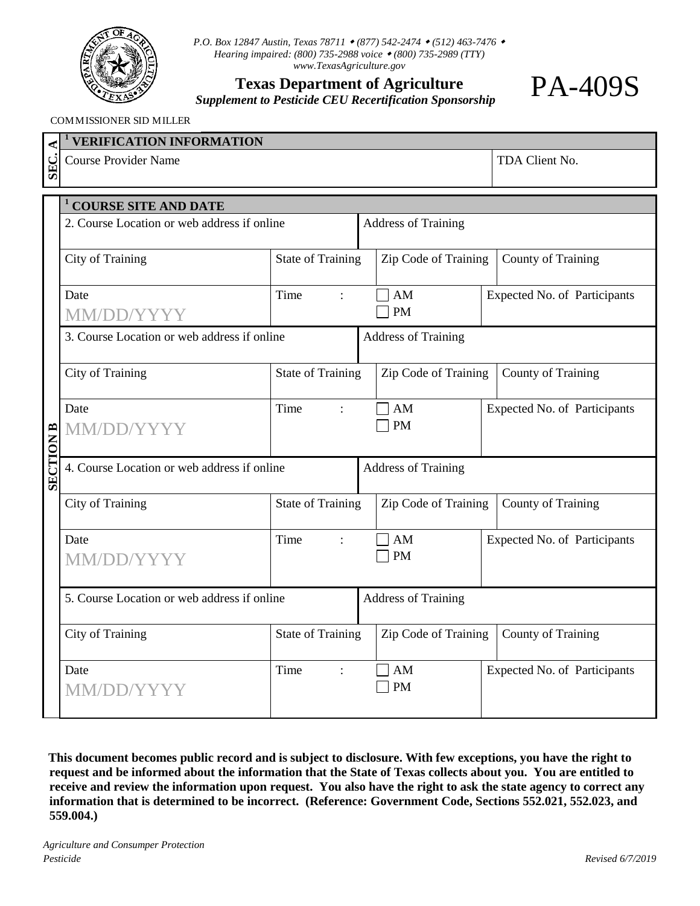

*P.O. Box 12847 Austin, Texas 78711 (877) 542-2474 (512) 463-7476 Hearing impaired: (800) 735-2988 voice (800) 735-2989 (TTY) www.TexasAgriculture.gov*

**Texas Department of Agriculture**

*Supplement to Pesticide CEU Recertification Sponsorship*

## **<sup>1</sup> VERIFICATION INFORMATION** COMMISSIONER SID MILLER

Г

|                  | <b>VERIFICATION INFORMATION</b>             |                          |                |                            |  |                              |  |  |  |  |
|------------------|---------------------------------------------|--------------------------|----------------|----------------------------|--|------------------------------|--|--|--|--|
| SEC.             | <b>Course Provider Name</b>                 |                          | TDA Client No. |                            |  |                              |  |  |  |  |
|                  |                                             |                          |                |                            |  |                              |  |  |  |  |
|                  | <b>COURSE SITE AND DATE</b>                 |                          |                |                            |  |                              |  |  |  |  |
|                  | 2. Course Location or web address if online |                          |                | <b>Address of Training</b> |  |                              |  |  |  |  |
|                  |                                             |                          |                |                            |  |                              |  |  |  |  |
|                  | <b>City of Training</b>                     | <b>State of Training</b> |                | Zip Code of Training       |  | <b>County of Training</b>    |  |  |  |  |
|                  | Date                                        | Time<br>$\ddot{\cdot}$   |                | AM                         |  | Expected No. of Participants |  |  |  |  |
|                  | MM/DD/Y                                     |                          |                | <b>PM</b>                  |  |                              |  |  |  |  |
|                  | 3. Course Location or web address if online |                          |                | <b>Address of Training</b> |  |                              |  |  |  |  |
|                  |                                             |                          |                |                            |  |                              |  |  |  |  |
|                  | <b>City of Training</b>                     | <b>State of Training</b> |                | Zip Code of Training       |  | <b>County of Training</b>    |  |  |  |  |
|                  | Date                                        | Time<br>$\ddot{\cdot}$   |                | AM                         |  | Expected No. of Participants |  |  |  |  |
|                  | MM/DD/YYYY                                  |                          |                | <b>PM</b>                  |  |                              |  |  |  |  |
|                  |                                             |                          |                |                            |  |                              |  |  |  |  |
| <b>SECTION B</b> | 4. Course Location or web address if online |                          |                | <b>Address of Training</b> |  |                              |  |  |  |  |
|                  | <b>City of Training</b>                     | <b>State of Training</b> |                | Zip Code of Training       |  | <b>County of Training</b>    |  |  |  |  |
|                  |                                             |                          |                |                            |  |                              |  |  |  |  |
|                  | Date                                        | Time<br>$\cdot$          |                | $\mathbf{A}\mathbf{M}$     |  | Expected No. of Participants |  |  |  |  |
|                  | <b>MM/DD/YYYY</b>                           |                          |                | <b>PM</b>                  |  |                              |  |  |  |  |
|                  |                                             |                          |                |                            |  |                              |  |  |  |  |
|                  | 5. Course Location or web address if online |                          |                | <b>Address of Training</b> |  |                              |  |  |  |  |
|                  | <b>City of Training</b>                     | <b>State of Training</b> |                | Zip Code of Training       |  | <b>County of Training</b>    |  |  |  |  |
|                  |                                             |                          |                |                            |  |                              |  |  |  |  |
|                  | Date                                        | Time<br>$\ddot{\cdot}$   |                | AM                         |  | Expected No. of Participants |  |  |  |  |
|                  | <b>MM/DD/YYYY</b>                           |                          |                | <b>PM</b>                  |  |                              |  |  |  |  |
|                  |                                             |                          |                |                            |  |                              |  |  |  |  |

**This document becomes public record and is subject to disclosure. With few exceptions, you have the right to request and be informed about the information that the State of Texas collects about you. You are entitled to receive and review the information upon request. You also have the right to ask the state agency to correct any information that is determined to be incorrect. (Reference: Government Code, Sections 552.021, 552.023, and 559.004.)**